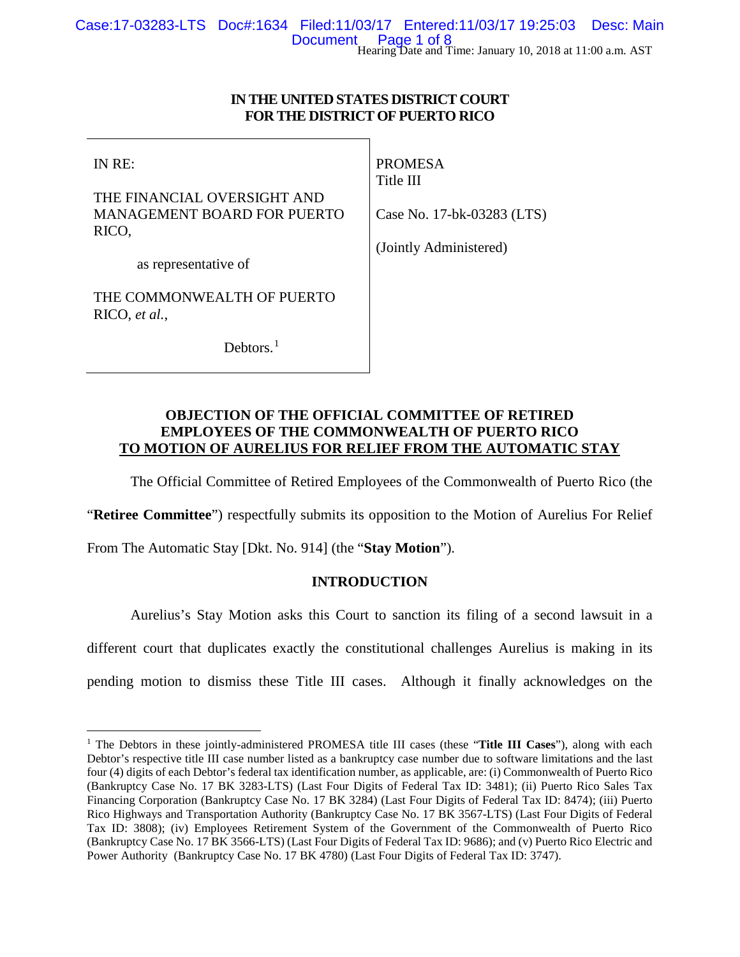# **IN THE UNITED STATES DISTRICT COURT FOR THE DISTRICT OF PUERTO RICO**

IN RE:

THE FINANCIAL OVERSIGHT AND MANAGEMENT BOARD FOR PUERTO RICO,

PROMESA Title III

Case No. 17-bk-03283 (LTS)

(Jointly Administered)

as representative of

THE COMMONWEALTH OF PUERTO RICO, *et al.*,

Debtors.<sup>[1](#page-0-0)</sup>

# **OBJECTION OF THE OFFICIAL COMMITTEE OF RETIRED EMPLOYEES OF THE COMMONWEALTH OF PUERTO RICO**

# **TO MOTION OF AURELIUS FOR RELIEF FROM THE AUTOMATIC STAY**

The Official Committee of Retired Employees of the Commonwealth of Puerto Rico (the

"**Retiree Committee**") respectfully submits its opposition to the Motion of Aurelius For Relief

From The Automatic Stay [Dkt. No. 914] (the "**Stay Motion**").

# **INTRODUCTION**

Aurelius's Stay Motion asks this Court to sanction its filing of a second lawsuit in a different court that duplicates exactly the constitutional challenges Aurelius is making in its pending motion to dismiss these Title III cases. Although it finally acknowledges on the

<span id="page-0-0"></span><sup>&</sup>lt;sup>1</sup> The Debtors in these jointly-administered PROMESA title III cases (these "Title III Cases"), along with each Debtor's respective title III case number listed as a bankruptcy case number due to software limitations and the last four (4) digits of each Debtor's federal tax identification number, as applicable, are: (i) Commonwealth of Puerto Rico (Bankruptcy Case No. 17 BK 3283-LTS) (Last Four Digits of Federal Tax ID: 3481); (ii) Puerto Rico Sales Tax Financing Corporation (Bankruptcy Case No. 17 BK 3284) (Last Four Digits of Federal Tax ID: 8474); (iii) Puerto Rico Highways and Transportation Authority (Bankruptcy Case No. 17 BK 3567-LTS) (Last Four Digits of Federal Tax ID: 3808); (iv) Employees Retirement System of the Government of the Commonwealth of Puerto Rico (Bankruptcy Case No. 17 BK 3566-LTS) (Last Four Digits of Federal Tax ID: 9686); and (v) Puerto Rico Electric and Power Authority (Bankruptcy Case No. 17 BK 4780) (Last Four Digits of Federal Tax ID: 3747).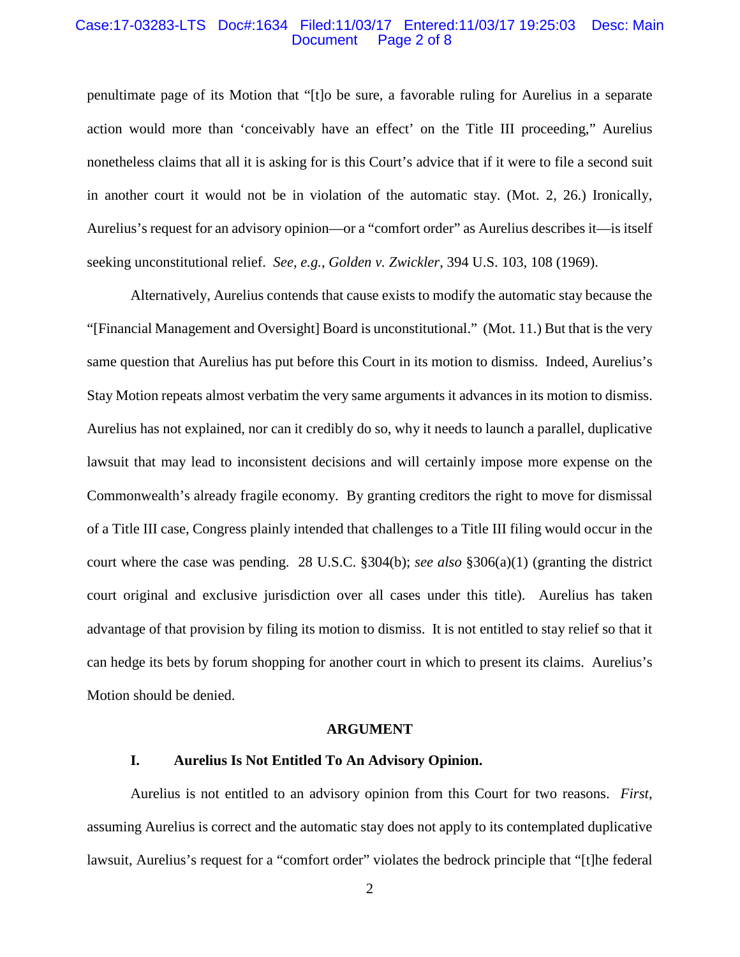#### Case:17-03283-LTS Doc#:1634 Filed:11/03/17 Entered:11/03/17 19:25:03 Desc: Main Page 2 of 8

penultimate page of its Motion that "[t]o be sure, a favorable ruling for Aurelius in a separate action would more than 'conceivably have an effect' on the Title III proceeding," Aurelius nonetheless claims that all it is asking for is this Court's advice that if it were to file a second suit in another court it would not be in violation of the automatic stay. (Mot. 2, 26.) Ironically, Aurelius's request for an advisory opinion—or a "comfort order" as Aurelius describes it—is itself seeking unconstitutional relief. *See, e.g.*, *Golden v. Zwickler*, 394 U.S. 103, 108 (1969).

Alternatively, Aurelius contends that cause exists to modify the automatic stay because the "[Financial Management and Oversight] Board is unconstitutional." (Mot. 11.) But that is the very same question that Aurelius has put before this Court in its motion to dismiss. Indeed, Aurelius's Stay Motion repeats almost verbatim the very same arguments it advances in its motion to dismiss. Aurelius has not explained, nor can it credibly do so, why it needs to launch a parallel, duplicative lawsuit that may lead to inconsistent decisions and will certainly impose more expense on the Commonwealth's already fragile economy. By granting creditors the right to move for dismissal of a Title III case, Congress plainly intended that challenges to a Title III filing would occur in the court where the case was pending. 28 U.S.C. §304(b); *see also* §306(a)(1) (granting the district court original and exclusive jurisdiction over all cases under this title). Aurelius has taken advantage of that provision by filing its motion to dismiss. It is not entitled to stay relief so that it can hedge its bets by forum shopping for another court in which to present its claims. Aurelius's Motion should be denied.

#### **ARGUMENT**

## **I. Aurelius Is Not Entitled To An Advisory Opinion.**

Aurelius is not entitled to an advisory opinion from this Court for two reasons. *First*, assuming Aurelius is correct and the automatic stay does not apply to its contemplated duplicative lawsuit, Aurelius's request for a "comfort order" violates the bedrock principle that "[t]he federal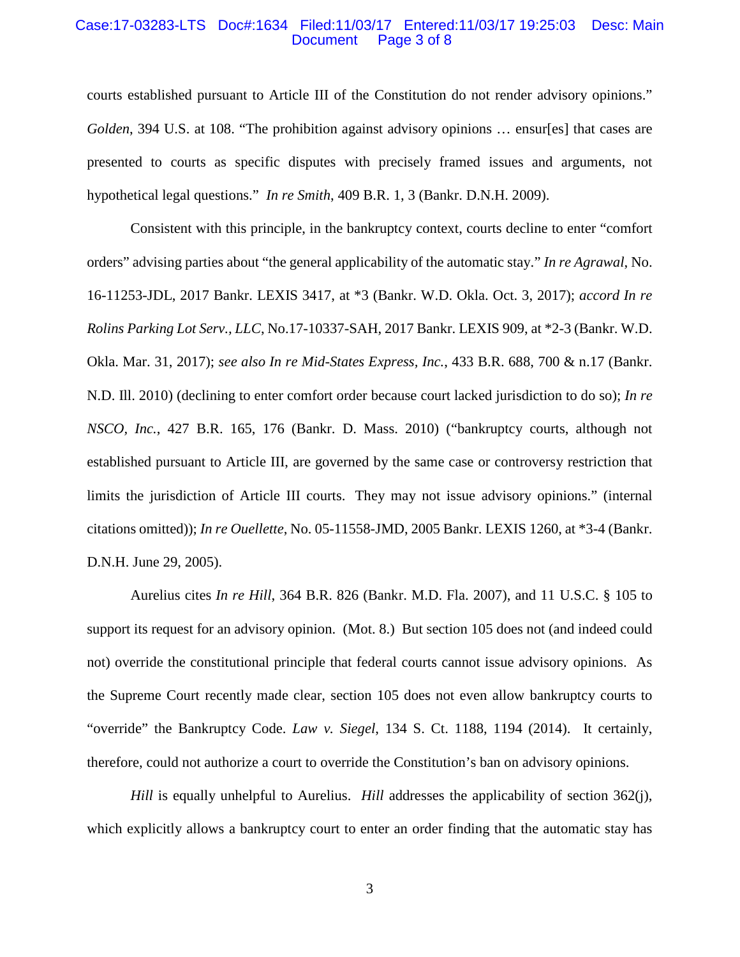#### Case:17-03283-LTS Doc#:1634 Filed:11/03/17 Entered:11/03/17 19:25:03 Desc: Main Page 3 of 8

courts established pursuant to Article III of the Constitution do not render advisory opinions." *Golden*, 394 U.S. at 108. "The prohibition against advisory opinions … ensur[es] that cases are presented to courts as specific disputes with precisely framed issues and arguments, not hypothetical legal questions." *In re Smith*, 409 B.R. 1, 3 (Bankr. D.N.H. 2009).

Consistent with this principle, in the bankruptcy context, courts decline to enter "comfort orders" advising parties about "the general applicability of the automatic stay." *In re Agrawal*, No. 16-11253-JDL, 2017 Bankr. LEXIS 3417, at \*3 (Bankr. W.D. Okla. Oct. 3, 2017); *accord In re Rolins Parking Lot Serv., LLC*, No.17-10337-SAH, 2017 Bankr. LEXIS 909, at \*2-3 (Bankr. W.D. Okla. Mar. 31, 2017); *see also In re Mid-States Express, Inc.*, 433 B.R. 688, 700 & n.17 (Bankr. N.D. Ill. 2010) (declining to enter comfort order because court lacked jurisdiction to do so); *In re NSCO, Inc.*, 427 B.R. 165, 176 (Bankr. D. Mass. 2010) ("bankruptcy courts, although not established pursuant to Article III, are governed by the same case or controversy restriction that limits the jurisdiction of Article III courts. They may not issue advisory opinions." (internal citations omitted)); *In re Ouellette*, No. 05-11558-JMD, 2005 Bankr. LEXIS 1260, at \*3-4 (Bankr. D.N.H. June 29, 2005).

Aurelius cites *In re Hill*, 364 B.R. 826 (Bankr. M.D. Fla. 2007), and 11 U.S.C. § 105 to support its request for an advisory opinion. (Mot. 8.) But section 105 does not (and indeed could not) override the constitutional principle that federal courts cannot issue advisory opinions. As the Supreme Court recently made clear, section 105 does not even allow bankruptcy courts to "override" the Bankruptcy Code. *Law v. Siegel*, 134 S. Ct. 1188, 1194 (2014). It certainly, therefore, could not authorize a court to override the Constitution's ban on advisory opinions.

*Hill* is equally unhelpful to Aurelius. *Hill* addresses the applicability of section 362(j), which explicitly allows a bankruptcy court to enter an order finding that the automatic stay has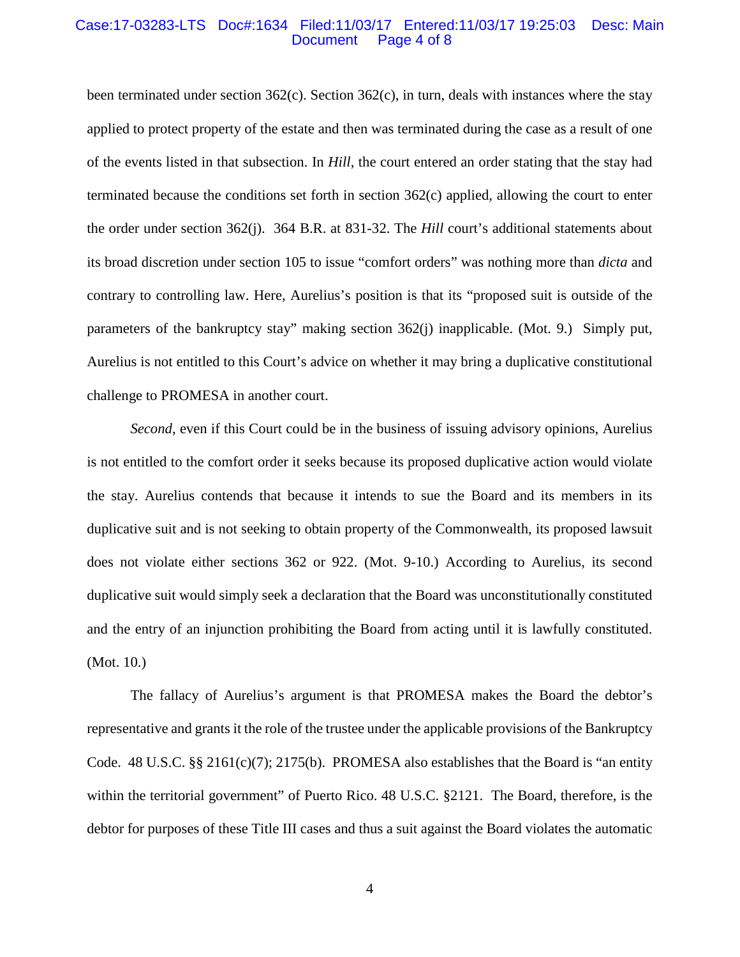#### Case:17-03283-LTS Doc#:1634 Filed:11/03/17 Entered:11/03/17 19:25:03 Desc: Main Page 4 of 8

been terminated under section  $362(c)$ . Section  $362(c)$ , in turn, deals with instances where the stay applied to protect property of the estate and then was terminated during the case as a result of one of the events listed in that subsection. In *Hill*, the court entered an order stating that the stay had terminated because the conditions set forth in section 362(c) applied, allowing the court to enter the order under section 362(j). 364 B.R. at 831-32. The *Hill* court's additional statements about its broad discretion under section 105 to issue "comfort orders" was nothing more than *dicta* and contrary to controlling law. Here, Aurelius's position is that its "proposed suit is outside of the parameters of the bankruptcy stay" making section 362(j) inapplicable. (Mot. 9.) Simply put, Aurelius is not entitled to this Court's advice on whether it may bring a duplicative constitutional challenge to PROMESA in another court.

*Second*, even if this Court could be in the business of issuing advisory opinions, Aurelius is not entitled to the comfort order it seeks because its proposed duplicative action would violate the stay. Aurelius contends that because it intends to sue the Board and its members in its duplicative suit and is not seeking to obtain property of the Commonwealth, its proposed lawsuit does not violate either sections 362 or 922. (Mot. 9-10.) According to Aurelius, its second duplicative suit would simply seek a declaration that the Board was unconstitutionally constituted and the entry of an injunction prohibiting the Board from acting until it is lawfully constituted. (Mot. 10.)

The fallacy of Aurelius's argument is that PROMESA makes the Board the debtor's representative and grants it the role of the trustee under the applicable provisions of the Bankruptcy Code. 48 U.S.C. §§ 2161(c)(7); 2175(b). PROMESA also establishes that the Board is "an entity within the territorial government" of Puerto Rico. 48 U.S.C. §2121. The Board, therefore, is the debtor for purposes of these Title III cases and thus a suit against the Board violates the automatic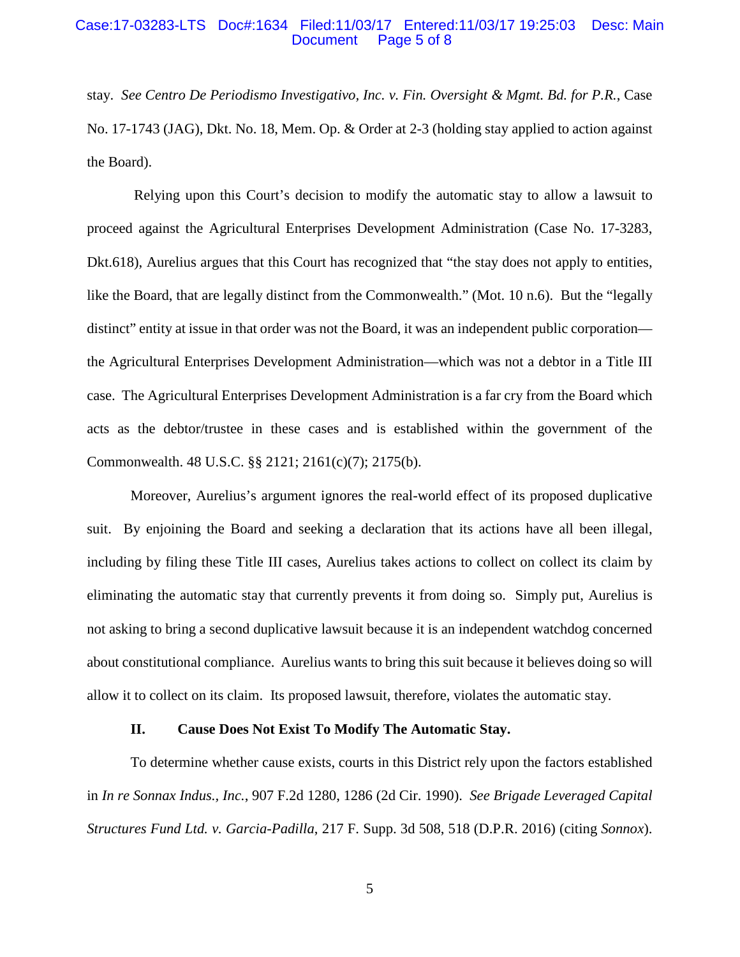#### Case:17-03283-LTS Doc#:1634 Filed:11/03/17 Entered:11/03/17 19:25:03 Desc: Main Page 5 of 8

stay. *See Centro De Periodismo Investigativo, Inc. v. Fin. Oversight & Mgmt. Bd. for P.R.*, Case No. 17-1743 (JAG), Dkt. No. 18, Mem. Op. & Order at 2-3 (holding stay applied to action against the Board).

Relying upon this Court's decision to modify the automatic stay to allow a lawsuit to proceed against the Agricultural Enterprises Development Administration (Case No. 17-3283, Dkt.618), Aurelius argues that this Court has recognized that "the stay does not apply to entities, like the Board, that are legally distinct from the Commonwealth." (Mot. 10 n.6). But the "legally distinct" entity at issue in that order was not the Board, it was an independent public corporation the Agricultural Enterprises Development Administration—which was not a debtor in a Title III case. The Agricultural Enterprises Development Administration is a far cry from the Board which acts as the debtor/trustee in these cases and is established within the government of the Commonwealth. 48 U.S.C. §§ 2121; 2161(c)(7); 2175(b).

Moreover, Aurelius's argument ignores the real-world effect of its proposed duplicative suit. By enjoining the Board and seeking a declaration that its actions have all been illegal, including by filing these Title III cases, Aurelius takes actions to collect on collect its claim by eliminating the automatic stay that currently prevents it from doing so. Simply put, Aurelius is not asking to bring a second duplicative lawsuit because it is an independent watchdog concerned about constitutional compliance. Aurelius wants to bring this suit because it believes doing so will allow it to collect on its claim. Its proposed lawsuit, therefore, violates the automatic stay.

#### **II. Cause Does Not Exist To Modify The Automatic Stay.**

To determine whether cause exists, courts in this District rely upon the factors established in *In re Sonnax Indus., Inc.*, 907 F.2d 1280, 1286 (2d Cir. 1990). *See Brigade Leveraged Capital Structures Fund Ltd. v. Garcia-Padilla*, 217 F. Supp. 3d 508, 518 (D.P.R. 2016) (citing *Sonnox*).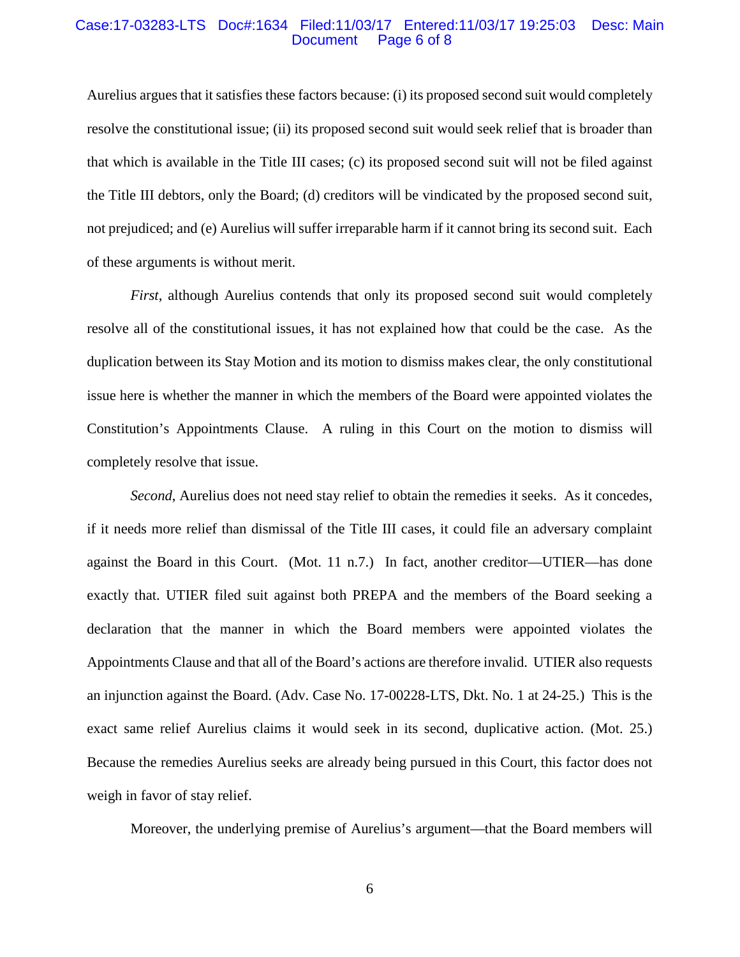#### Case:17-03283-LTS Doc#:1634 Filed:11/03/17 Entered:11/03/17 19:25:03 Desc: Main Page 6 of 8

Aurelius argues that it satisfies these factors because: (i) its proposed second suit would completely resolve the constitutional issue; (ii) its proposed second suit would seek relief that is broader than that which is available in the Title III cases; (c) its proposed second suit will not be filed against the Title III debtors, only the Board; (d) creditors will be vindicated by the proposed second suit, not prejudiced; and (e) Aurelius will suffer irreparable harm if it cannot bring its second suit. Each of these arguments is without merit.

*First*, although Aurelius contends that only its proposed second suit would completely resolve all of the constitutional issues, it has not explained how that could be the case. As the duplication between its Stay Motion and its motion to dismiss makes clear, the only constitutional issue here is whether the manner in which the members of the Board were appointed violates the Constitution's Appointments Clause. A ruling in this Court on the motion to dismiss will completely resolve that issue.

*Second*, Aurelius does not need stay relief to obtain the remedies it seeks. As it concedes, if it needs more relief than dismissal of the Title III cases, it could file an adversary complaint against the Board in this Court. (Mot. 11 n.7.) In fact, another creditor—UTIER—has done exactly that. UTIER filed suit against both PREPA and the members of the Board seeking a declaration that the manner in which the Board members were appointed violates the Appointments Clause and that all of the Board's actions are therefore invalid. UTIER also requests an injunction against the Board. (Adv. Case No. 17-00228-LTS, Dkt. No. 1 at 24-25.) This is the exact same relief Aurelius claims it would seek in its second, duplicative action. (Mot. 25.) Because the remedies Aurelius seeks are already being pursued in this Court, this factor does not weigh in favor of stay relief.

Moreover, the underlying premise of Aurelius's argument—that the Board members will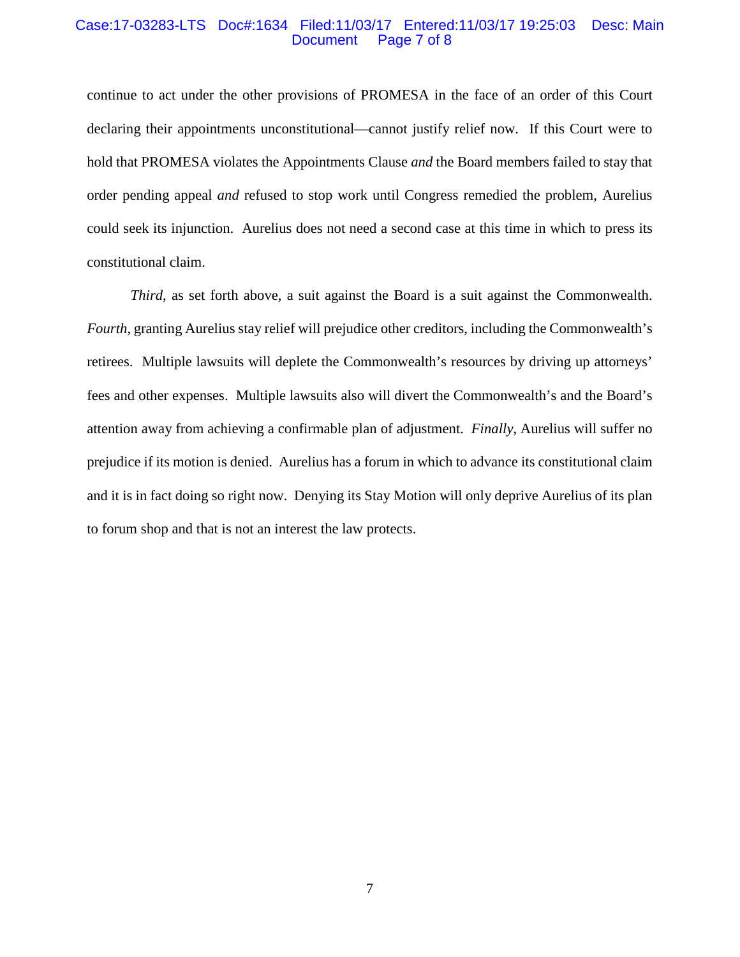#### Case:17-03283-LTS Doc#:1634 Filed:11/03/17 Entered:11/03/17 19:25:03 Desc: Main Page 7 of 8

continue to act under the other provisions of PROMESA in the face of an order of this Court declaring their appointments unconstitutional—cannot justify relief now. If this Court were to hold that PROMESA violates the Appointments Clause *and* the Board members failed to stay that order pending appeal *and* refused to stop work until Congress remedied the problem, Aurelius could seek its injunction. Aurelius does not need a second case at this time in which to press its constitutional claim.

*Third*, as set forth above, a suit against the Board is a suit against the Commonwealth. *Fourth*, granting Aurelius stay relief will prejudice other creditors, including the Commonwealth's retirees. Multiple lawsuits will deplete the Commonwealth's resources by driving up attorneys' fees and other expenses. Multiple lawsuits also will divert the Commonwealth's and the Board's attention away from achieving a confirmable plan of adjustment. *Finally*, Aurelius will suffer no prejudice if its motion is denied. Aurelius has a forum in which to advance its constitutional claim and it is in fact doing so right now. Denying its Stay Motion will only deprive Aurelius of its plan to forum shop and that is not an interest the law protects.